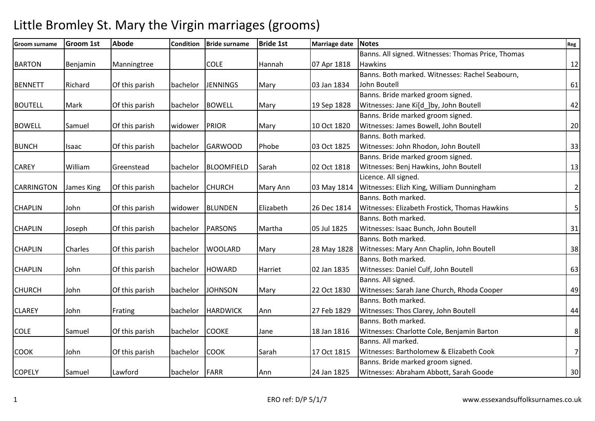#### **Groom surname Groom 1st Abode Condition Bride surname Bride 1st Marriage date Notes Reg** BARTON Benjamin Manningtree | COLE | Hannah | 07 Apr 1818 Banns. All signed. Witnesses: Thomas Price, Thomas Hawkins 12 BENNETT | Richard | Of this parish | bachelor | JENNINGS | Mary | 03 Jan 1834 Banns. Both marked. Witnesses: Rachel Seabourn, John Boutell 61 BOUTELL | Mark | Of this parish | bachelor | BOWELL | Mary | 19 Sep 1828 Banns. Bride marked groom signed. Witnesses: Jane Ki[d ]by, John Boutell 42 BOWELL Samuel Of this parish widower PRIOR Mary 10 Oct 1820 Banns. Bride marked groom signed. Witnesses: James Bowell, John Boutell 20 BUNCH |Isaac | Of this parish |bachelor |GARWOOD |Phobe | 03 Oct 1825 Banns. Both marked. Witnesses: John Rhodon, John Boutell **33** CAREY William Greenstead bachelor BLOOMFIELD Sarah 02 Oct 1818 Banns. Bride marked groom signed. | Witnesses: Benj Hawkins, John Boutell | 13 CARRINGTON |James King | Of this parish | bachelor | CHURCH | Mary Ann | 03 May 1814 Licence. All signed. Witnesses: Elizh King, William Dunningham 2 CHAPLIN John Of this parish widower BLUNDEN Elizabeth 26 Dec 1814 Banns. Both marked. | Witnesses: Elizabeth Frostick, Thomas Hawkins | 5 CHAPLIN Joseph Of this parish bachelor PARSONS Martha 05 Jul 1825 Banns. Both marked. Witnesses: Isaac Bunch, John Boutell 31 CHAPLIN | Charles | Of this parish | bachelor | WOOLARD | Mary | 28 May 1828 | Witnesses: Mary Ann Chaplin, John Boutell | 38 Banns. Both marked. CHAPLIN John Of this parish bachelor HOWARD Harriet 02 Jan 1835 Banns. Both marked. Witnesses: Daniel Culf, John Boutell 63 CHURCH John Of this parish bachelor JOHNSON Mary 22 Oct 1830 Banns. All signed. Witnesses: Sarah Jane Church, Rhoda Cooper 49 CLAREY |John |Frating |bachelor |HARDWICK |Ann |27 Feb 1829 Banns. Both marked. Witnesses: Thos Clarey, John Boutell 44 COLE Samuel Of this parish bachelor COOKE Jane 18 Jan 1816 Banns. Both marked. Witnesses: Charlotte Cole, Benjamin Barton | 8 COOK John Of this parish bachelor COOK Sarah 17 Oct 1815 Banns. All marked. Witnesses: Bartholomew & Elizabeth Cook 7 COPELY | Samuel | Lawford | bachelor | FARR | Ann | 24 Jan 1825 Banns. Bride marked groom signed. Witnesses: Abraham Abbott, Sarah Goode 30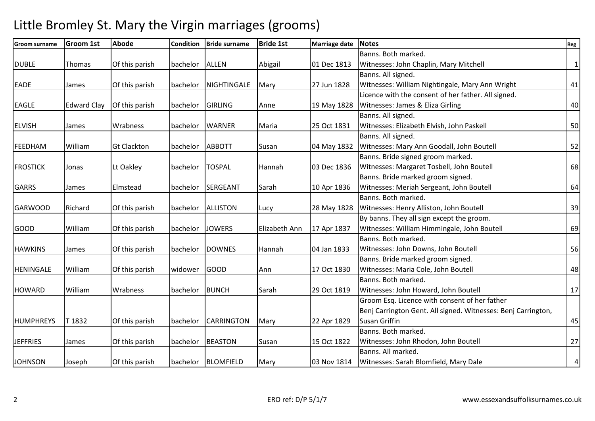#### **Groom surname Groom 1st Abode Condition Bride surname Bride 1st Marriage date Notes Reg** DUBLE Thomas Of this parish bachelor ALLEN Abigail 01 Dec 1813 Banns. Both marked. Witnesses: John Chaplin, Mary Mitchell EADE James Of this parish bachelor NIGHTINGALE Mary 27 Jun 1828 Banns. All signed. Witnesses: William Nightingale, Mary Ann Wright 41 EAGLE Edward Clay Of this parish bachelor GIRLING Anne 19 May 1828 Licence with the consent of her father. All signed. | Witnesses: James & Eliza Girling | 40 ELVISH James Wrabness bachelor WARNER Maria 125 Oct 1831 Banns. All signed. | Witnesses: Elizabeth Elvish, John Paskell | 50 FEEDHAM |William |Gt Clackton |bachelor |ABBOTT |Susan |04 May 1832 Banns. All signed. 04 May 1832 Witnesses: Mary Ann Goodall, John Boutell **1892 1898** S2 FROSTICK |Jonas |Lt Oakley |bachelor |TOSPAL |Hannah |03 Dec 1836 Banns. Bride signed groom marked. Witnesses: Margaret Tosbell, John Boutell 68 GARRS | James | Elmstead | bachelor | SERGEANT | Sarah | 10 Apr 1836 Banns. Bride marked groom signed. Witnesses: Meriah Sergeant, John Boutell 64 GARWOOD |Richard |Of this parish |bachelor |ALLISTON |Lucy | 28 May 1828 Banns. Both marked. Witnesses: Henry Alliston, John Boutell 39 GOOD William Of this parish bachelor JOWERS Elizabeth Ann 17 Apr 1837 By banns. They all sign except the groom. Witnesses: William Himmingale, John Boutell 69 HAWKINS James Of this parish bachelor DOWNES Hannah 04 Jan 1833 Banns. Both marked. Witnesses: John Downs, John Boutell **1998** Solution 156 HENINGALE William Of this parish widower GOOD Ann 17 Oct 1830 Banns. Bride marked groom signed. Witnesses: Maria Cole, John Boutell 48 HOWARD William Wrabness bachelor BUNCH Sarah 29 Oct 1819 Banns. Both marked. Witnesses: John Howard, John Boutell **17** HUMPHREYS T 1832 | Of this parish | bachelor | CARRINGTON | Mary | 22 Apr 1829 Groom Esq. Licence with consent of her father Benj Carrington Gent. All signed. Witnesses: Benj Carrington, Susan Griffin **145** JEFFRIES James Of this parish bachelor BEASTON Susan 15 Oct 1822 Banns. Both marked. Witnesses: John Rhodon, John Boutell 27 JOHNSON Joseph Of this parish bachelor BLOMFIELD Mary 03 Nov 1814 Banns. All marked. Witnesses: Sarah Blomfield, Mary Dale 4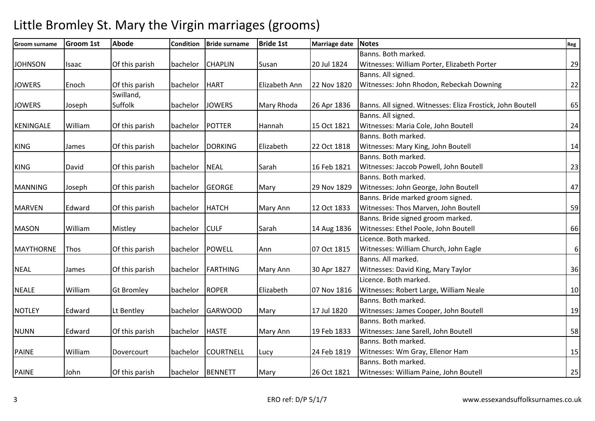#### **Groom surname Groom 1st Abode Condition Bride surname Bride 1st Marriage date Notes Reg** JOHNSON |Isaac | Of this parish | bachelor | CHAPLIN | Susan | 20 Jul 1824 Banns. Both marked. Witnesses: William Porter, Elizabeth Porter 29 JOWERS Enoch Of this parish bachelor HART Elizabeth Ann 22 Nov 1820 Banns. All signed. Witnesses: John Rhodon, Rebeckah Downing 22 JOWERS Joseph Swilland, Suffolk bachelor JOWERS Mary Rhoda 26 Apr 1836 Banns. All signed. Witnesses: Eliza Frostick, John Boutell 65 KENINGALE William Of this parish bachelor POTTER Hannah 15 Oct 1821 Banns. All signed. Witnesses: Maria Cole, John Boutell 24 KING James Of this parish bachelor DORKING Elizabeth 22 Oct 1818 Banns. Both marked. Witnesses: Mary King, John Boutell 14 KING | David | Of this parish | bachelor | NEAL | Sarah | 16 Feb 1821 Banns. Both marked. Witnesses: Jaccob Powell, John Boutell 23 MANNING |Joseph | Of this parish | bachelor | GEORGE | Mary | 29 Nov 1829 Banns. Both marked. Witnesses: John George, John Boutell 47 MARVEN | Edward | Of this parish | bachelor | HATCH | Mary Ann | 12 Oct 1833 Banns. Bride marked groom signed. Witnesses: Thos Marven, John Boutell **1998** MASON William Mistley bachelor CULF Sarah 14 Aug 1836 Banns. Bride signed groom marked. | Witnesses: Ethel Poole, John Boutell | 66 MAYTHORNE Thos **Orthis parish bachelor POWELL** Ann 177 Oct 1815 Licence. Both marked. Witnesses: William Church, John Eagle **6 6** NEAL James Of this parish bachelor FARTHING Mary Ann 30 Apr 1827 Banns. All marked. Witnesses: David King, Mary Taylor 36 NEALE William Gt Bromley bachelor ROPER Elizabeth 07 Nov 1816 Licence. Both marked. Witnesses: Robert Large, William Neale 10 10 NOTLEY | Edward | Lt Bentley | bachelor | GARWOOD | Mary | 17 Jul 1820 Banns. Both marked. Witnesses: James Cooper, John Boutell 19 NUNN Edward Of this parish bachelor HASTE Mary Ann 19 Feb 1833 Banns. Both marked. Witnesses: Jane Sarell, John Boutell 58 PAINE | William | Dovercourt | bachelor | COURTNELL | Lucy | 24 Feb 1819 Banns. Both marked. Witnesses: Wm Gray, Ellenor Ham 15 PAINE | John | Of this parish | bachelor | BENNETT | Mary | 26 Oct 1821 Banns. Both marked. Witnesses: William Paine, John Boutell 25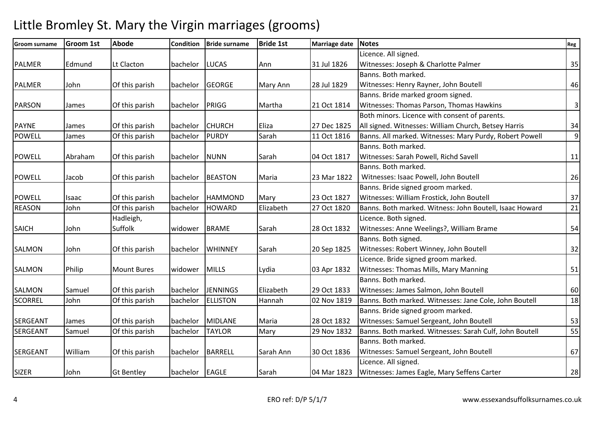#### **Groom surname Groom 1st Abode Condition Bride surname Bride 1st Marriage date Notes Reg** PALMER Edmund Lt Clacton | bachelor | LUCAS | Ann | 31 Jul 1826 Licence. All signed. Witnesses: Joseph & Charlotte Palmer 35 PALMER John Of this parish bachelor GEORGE Mary Ann 28 Jul 1829 Banns. Both marked. Witnesses: Henry Rayner, John Boutell 46 PARSON James | Of this parish | bachelor | PRIGG | Martha | 21 Oct 1814 Banns. Bride marked groom signed. Witnesses: Thomas Parson, Thomas Hawkins 3 PAYNE |James | Of this parish | bachelor | CHURCH | Eliza | 27 Dec 1825 Both minors. Licence with consent of parents. All signed. Witnesses: William Church, Betsey Harris 1944 POWELL James | Of this parish | bachelor | PURDY | Sarah | 11 Oct 1816 | Banns. All marked. Witnesses: Mary Purdy, Robert Powell | 9 POWELL Abraham Of this parish bachelor NUNN Sarah 104 Oct 1817 Banns. Both marked. Witnesses: Sarah Powell, Richd Savell 11 POWELL Jacob Of this parish bachelor BEASTON Maria 23 Mar 1822 Banns. Both marked. Witnesses: Isaac Powell, John Boutell 26 POWELL Isaac 10f this parish bachelor HAMMOND Mary 23 Oct 1827 Banns. Bride signed groom marked. Witnesses: William Frostick, John Boutell 37 REASON John Of this parish bachelor HOWARD Elizabeth 27 Oct 1820 Banns. Both marked. Witness: John Boutell, Isaac Howard 21 SAICH John Hadleigh, Suffolk widower BRAME Sarah 28 Oct 1832 Licence. Both signed. Witnesses: Anne Weelings?, William Brame 1988 1998 1999 154 SALMON John Of this parish bachelor WHINNEY Sarah 20 Sep 1825 Banns. Both signed. Witnesses: Robert Winney, John Boutell 32 SALMON Philip Mount Bures widower MILLS Lydia 103 Apr 1832 Licence. Bride signed groom marked. Witnesses: Thomas Mills, Mary Manning 1988 1991 SALMON Samuel Of this parish bachelor JENNINGS Elizabeth 29 Oct 1833 Banns. Both marked. Witnesses: James Salmon, John Boutell 60 SCORREL John Of this parish bachelor ELLISTON Hannah 02 Nov 1819 Banns. Both marked. Witnesses: Jane Cole, John Boutell 18 SERGEANT |James | Of this parish | bachelor | MIDLANE | Maria | 28 Oct 1832 Banns. Bride signed groom marked. Witnesses: Samuel Sergeant, John Boutell **1988 53** SERGEANT Samuel Of this parish bachelor TAYLOR Mary 29 Nov 1832 Banns. Both marked. Witnesses: Sarah Culf, John Boutell 55 SERGEANT | William | Of this parish | bachelor | BARRELL | Sarah Ann | 30 Oct 1836 Banns. Both marked. Witnesses: Samuel Sergeant, John Boutell 67 SIZER John Gt Bentley bachelor EAGLE Sarah 04 Mar 1823 Licence. All signed. |Witnesses: James Eagle, Mary Seffens Carter | 28